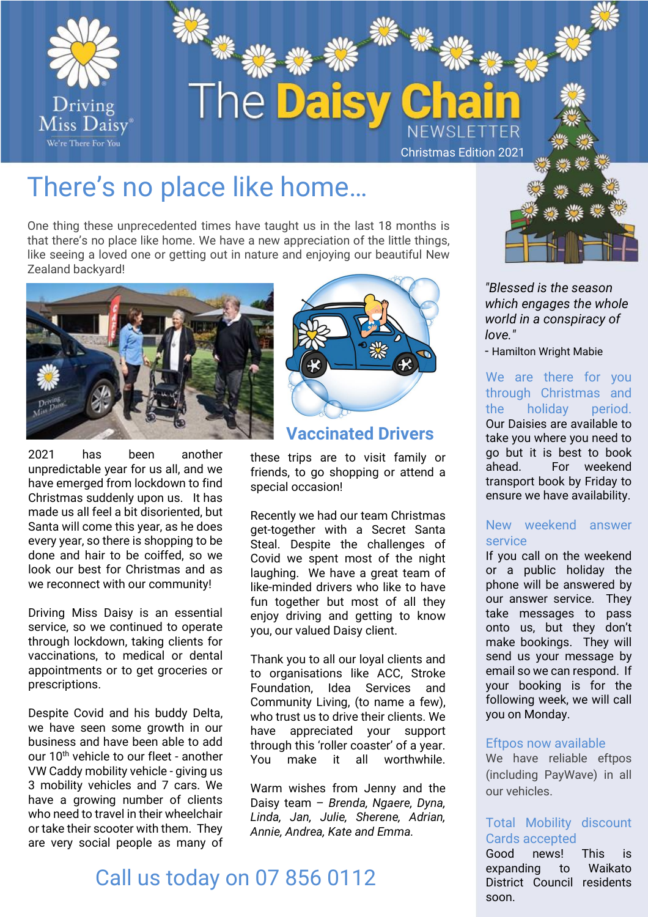

# There's no place like home…

One thing these unprecedented times have taught us in the last 18 months is that there's no place like home. We have a new appreciation of the little things, like seeing a loved one or getting out in nature and enjoying our beautiful New Zealand backyard!



2021 has been another unpredictable year for us all, and we have emerged from lockdown to find Christmas suddenly upon us. It has made us all feel a bit disoriented, but Santa will come this year, as he does every year, so there is shopping to be done and hair to be coiffed, so we look our best for Christmas and as we reconnect with our community!

Driving Miss Daisy is an essential service, so we continued to operate through lockdown, taking clients for vaccinations, to medical or dental appointments or to get groceries or prescriptions.

Despite Covid and his buddy Delta, we have seen some growth in our business and have been able to add our 10<sup>th</sup> vehicle to our fleet - another VW Caddy mobility vehicle - giving us 3 mobility vehicles and 7 cars. We have a growing number of clients who need to travel in their wheelchair or take their scooter with them. They are very social people as many of



#### **Vaccinated Drivers**

these trips are to visit family or friends, to go shopping or attend a special occasion!

Recently we had our team Christmas get-together with a Secret Santa Steal. Despite the challenges of Covid we spent most of the night laughing. We have a great team of like-minded drivers who like to have fun together but most of all they enjoy driving and getting to know you, our valued Daisy client.

Thank you to all our loyal clients and to organisations like ACC, Stroke Foundation, Idea Services and Community Living, (to name a few), who trust us to drive their clients. We have appreciated your support through this 'roller coaster' of a year. You make it all worthwhile.

Warm wishes from Jenny and the Daisy team – *Brenda, Ngaere, Dyna, Linda, Jan, Julie, Sherene, Adrian, Annie, Andrea, Kate and Emma.*

# Call us today on 07 856 0112



*"Blessed is the season which engages the whole world in a conspiracy of love."*

- Hamilton Wright Mabie

We are there for you through Christmas and the holiday period. Our Daisies are available to take you where you need to go but it is best to book ahead. For weekend transport book by Friday to ensure we have availability.

#### New weekend answer service

If you call on the weekend or a public holiday the phone will be answered by our answer service. They take messages to pass onto us, but they don't make bookings. They will send us your message by email so we can respond. If your booking is for the following week, we will call you on Monday.

#### Eftpos now available

We have reliable eftpos (including PayWave) in all our vehicles.

#### Total Mobility discount Cards accepted

Good news! This is expanding to Waikato District Council residents soon.